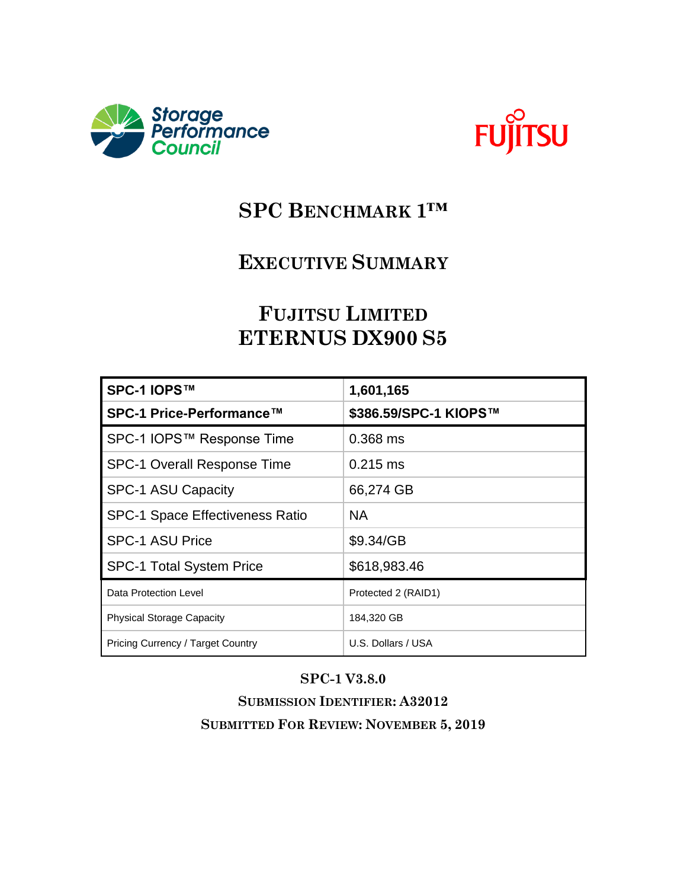



# **SPC BENCHMARK 1™**

## **EXECUTIVE SUMMARY**

# **FUJITSU LIMITED ETERNUS DX900 S5**

| SPC-1 IOPS™                              | 1,601,165             |
|------------------------------------------|-----------------------|
| SPC-1 Price-Performance™                 | \$386.59/SPC-1 KIOPS™ |
| SPC-1 IOPS™ Response Time                | $0.368$ ms            |
| <b>SPC-1 Overall Response Time</b>       | $0.215$ ms            |
| <b>SPC-1 ASU Capacity</b>                | 66,274 GB             |
| <b>SPC-1 Space Effectiveness Ratio</b>   | <b>NA</b>             |
| <b>SPC-1 ASU Price</b>                   | \$9.34/GB             |
| <b>SPC-1 Total System Price</b>          | \$618,983.46          |
| Data Protection Level                    | Protected 2 (RAID1)   |
| <b>Physical Storage Capacity</b>         | 184,320 GB            |
| <b>Pricing Currency / Target Country</b> | U.S. Dollars / USA    |

#### **SPC-1 V3.8.0**

**SUBMISSION IDENTIFIER: A32012 SUBMITTED FOR REVIEW: NOVEMBER 5, 2019**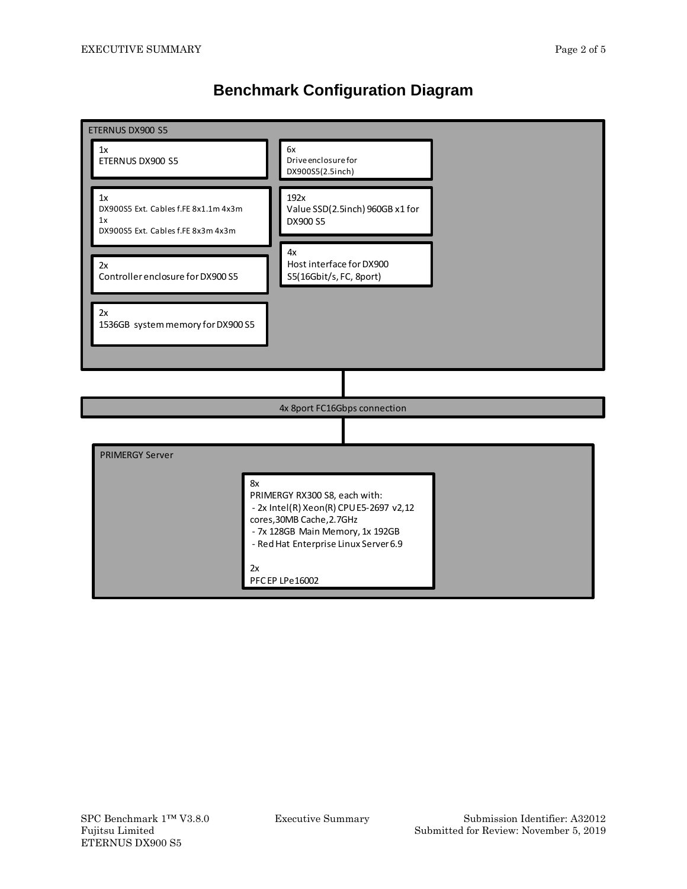#### **Benchmark Configuration Diagram**

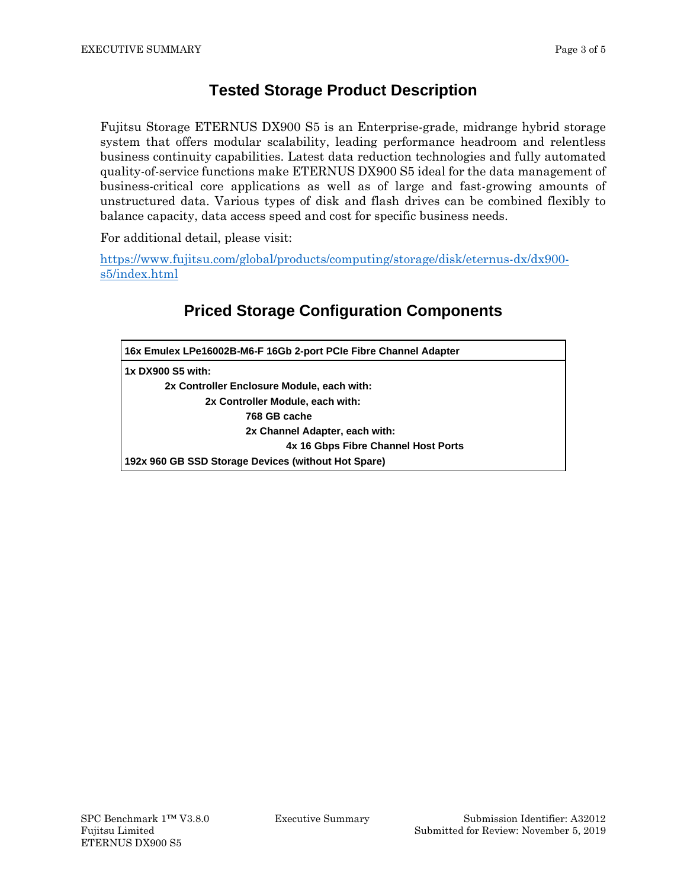#### **Tested Storage Product Description**

Fujitsu Storage ETERNUS DX900 S5 is an Enterprise-grade, midrange hybrid storage system that offers modular scalability, leading performance headroom and relentless business continuity capabilities. Latest data reduction technologies and fully automated quality-of-service functions make ETERNUS DX900 S5 ideal for the data management of business-critical core applications as well as of large and fast-growing amounts of unstructured data. Various types of disk and flash drives can be combined flexibly to balance capacity, data access speed and cost for specific business needs.

For additional detail, please visit:

[https://www.fujitsu.com/global/products/computing/storage/disk/eternus-dx/dx900](https://www.fujitsu.com/global/products/computing/storage/disk/eternus-dx/dx900-s5/index.html) [s5/index.html](https://www.fujitsu.com/global/products/computing/storage/disk/eternus-dx/dx900-s5/index.html)

### **Priced Storage Configuration Components**

| 16x Emulex LPe16002B-M6-F 16Gb 2-port PCIe Fibre Channel Adapter |  |  |
|------------------------------------------------------------------|--|--|
| 1x DX900 S5 with:                                                |  |  |
| 2x Controller Enclosure Module, each with:                       |  |  |
| 2x Controller Module, each with:                                 |  |  |
| 768 GB cache                                                     |  |  |
| 2x Channel Adapter, each with:                                   |  |  |
| 4x 16 Gbps Fibre Channel Host Ports                              |  |  |
| 192x 960 GB SSD Storage Devices (without Hot Spare)              |  |  |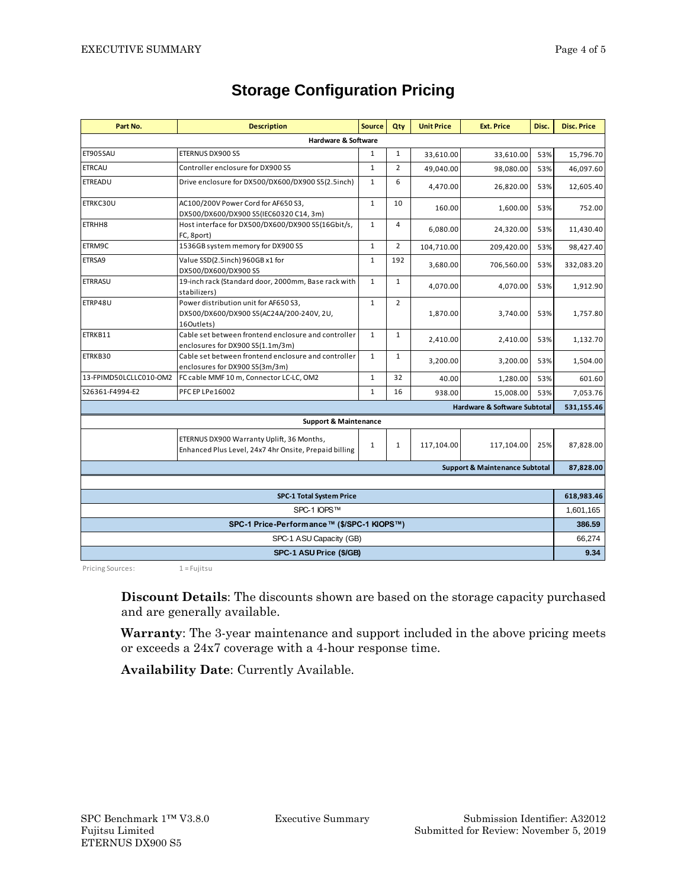| Part No.                                   | <b>Description</b>                                                                                 | <b>Source</b> | Qtv            | <b>Unit Price</b> | <b>Ext. Price</b> | Disc.      | <b>Disc. Price</b> |
|--------------------------------------------|----------------------------------------------------------------------------------------------------|---------------|----------------|-------------------|-------------------|------------|--------------------|
| <b>Hardware &amp; Software</b>             |                                                                                                    |               |                |                   |                   |            |                    |
| ET905SAU                                   | ETERNUS DX900 S5                                                                                   | $\mathbf{1}$  | $\mathbf{1}$   | 33,610.00         | 33,610.00         | 53%        | 15,796.70          |
| <b>ETRCAU</b>                              | Controller enclosure for DX900 S5                                                                  | $\mathbf{1}$  | $\overline{2}$ | 49,040.00         | 98,080.00         | 53%        | 46,097.60          |
| <b>ETREADU</b>                             | Drive enclosure for DX500/DX600/DX900 S5(2.5inch)                                                  | $\mathbf{1}$  | 6              | 4,470.00          | 26,820.00         | 53%        | 12,605.40          |
| ETRKC30U                                   | AC100/200V Power Cord for AF650 S3,<br>DX500/DX600/DX900 S5(IEC60320 C14, 3m)                      | $\mathbf{1}$  | 10             | 160.00            | 1,600.00          | 53%        | 752.00             |
| ETRHH8                                     | Host interface for DX500/DX600/DX900 S5(16Gbit/s,<br>FC, 8port)                                    | $\mathbf{1}$  | $\overline{4}$ | 6,080.00          | 24,320.00         | 53%        | 11,430.40          |
| ETRM9C                                     | 1536GB system memory for DX900 S5                                                                  | $\mathbf{1}$  | $\overline{2}$ | 104,710.00        | 209,420.00        | 53%        | 98,427.40          |
| ETRSA9                                     | Value SSD(2.5inch) 960GB x1 for<br>DX500/DX600/DX900 S5                                            | $\mathbf{1}$  | 192            | 3,680.00          | 706,560.00        | 53%        | 332,083.20         |
| ETRRASU                                    | 19-inch rack (Standard door, 2000mm, Base rack with<br>stabilizers)                                | $\mathbf{1}$  | $\mathbf{1}$   | 4,070.00          | 4,070.00          | 53%        | 1,912.90           |
| ETRP48U                                    | Power distribution unit for AF650 S3,<br>DX500/DX600/DX900 S5(AC24A/200-240V, 2U,<br>16Outlets)    | $\mathbf{1}$  | $\overline{2}$ | 1,870.00          | 3,740.00          | 53%        | 1,757.80           |
| ETRKB11                                    | Cable set between frontend enclosure and controller<br>enclosures for DX900 S5(1.1m/3m)            | $\mathbf{1}$  | $\mathbf{1}$   | 2,410.00          | 2,410.00          | 53%        | 1,132.70           |
| ETRKB30                                    | Cable set between frontend enclosure and controller<br>enclosures for DX900 S5(3m/3m)              | $\mathbf{1}$  | $\mathbf{1}$   | 3,200.00          | 3,200.00          | 53%        | 1,504.00           |
| 13-FPIMD50LCLLC010-OM2                     | FC cable MMF 10 m, Connector LC-LC, OM2                                                            | $\mathbf{1}$  | 32             | 40.00             | 1,280.00          | 53%        | 601.60             |
| S26361-F4994-E2                            | PFC EP LPe16002                                                                                    | $\mathbf{1}$  | 16             | 938.00            | 15,008.00         | 53%        | 7,053.76           |
| <b>Hardware &amp; Software Subtotal</b>    |                                                                                                    |               |                |                   | 531,155.46        |            |                    |
| <b>Support &amp; Maintenance</b>           |                                                                                                    |               |                |                   |                   |            |                    |
|                                            | ETERNUS DX900 Warranty Uplift, 36 Months,<br>Enhanced Plus Level, 24x7 4hr Onsite, Prepaid billing | $\mathbf{1}$  | $\mathbf{1}$   | 117,104.00        | 117,104.00        | 25%        | 87,828.00          |
| <b>Support &amp; Maintenance Subtotal</b>  |                                                                                                    |               |                |                   |                   |            | 87,828.00          |
|                                            |                                                                                                    |               |                |                   |                   |            |                    |
| <b>SPC-1 Total System Price</b>            |                                                                                                    |               |                |                   |                   | 618,983.46 |                    |
| SPC-1 IOPS™                                |                                                                                                    |               |                |                   |                   | 1,601,165  |                    |
| SPC-1 Price-Performance™ (\$/SPC-1 KIOPS™) |                                                                                                    |               |                |                   |                   | 386.59     |                    |
| SPC-1 ASU Capacity (GB)                    |                                                                                                    |               |                |                   | 66.274            |            |                    |
| SPC-1 ASU Price (\$/GB)                    |                                                                                                    |               |                |                   | 9.34              |            |                    |

### **Storage Configuration Pricing**

Pricing Sources: 1 = Fujitsu

**Discount Details**: The discounts shown are based on the storage capacity purchased and are generally available.

**Warranty**: The 3-year maintenance and support included in the above pricing meets or exceeds a 24x7 coverage with a 4-hour response time.

**Availability Date**: Currently Available.